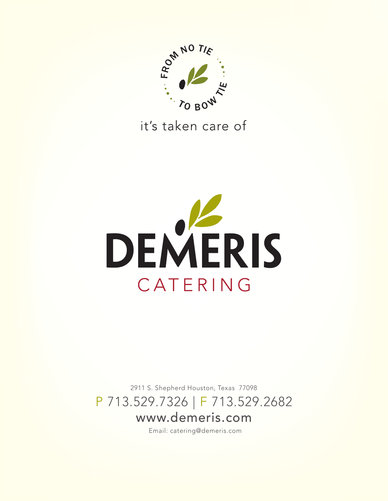

### it's taken care of



2911 S. Shepherd Houston, Texas 77098 P 713.529.7326 | F 713.529.2682 www.demeris.com

Email: catering@demeris.com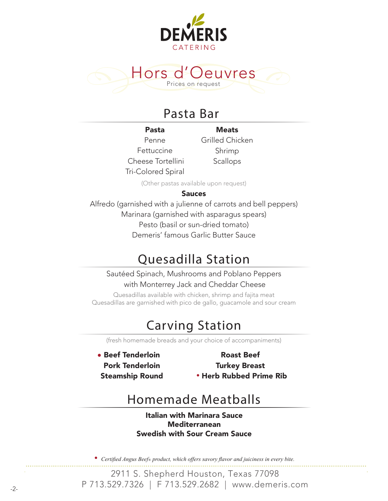



### Pasta Bar

Pasta Penne Fettuccine Cheese Tortellini Tri-Colored Spiral

Meats Grilled Chicken Shrimp **Scallops** 

(Other pastas available upon request)

#### Sauces

Alfredo (garnished with a julienne of carrots and bell peppers) Marinara (garnished with asparagus spears) Pesto (basil or sun-dried tomato) Demeris' famous Garlic Butter Sauce

# Quesadilla Station

#### Sautéed Spinach, Mushrooms and Poblano Peppers with Monterrey Jack and Cheddar Cheese

Quesadillas available with chicken, shrimp and fajita meat Quesadillas are garnished with pico de gallo, guacamole and sour cream

# Carving Station

(fresh homemade breads and your choice of accompaniments)

**• Beef Tenderloin** Pork Tenderloin Steamship Round

Roast Beef Turkey Breast *•* Herb Rubbed Prime Rib

# Homemade Meatballs

Italian with Marinara Sauce Mediterranean Swedish with Sour Cream Sauce

*• Certified Angus Beef® product, which offers savory flavor and juiciness in every bite.*

2911 S. Shepherd Houston, Texas 77098 P 713.529.7326 | F 713.529.2682 | www.demeris.com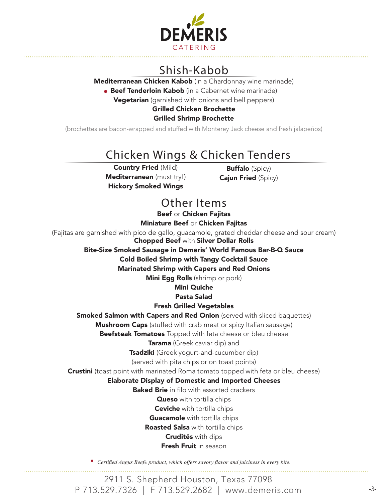

### Shish-Kabob

#### Mediterranean Chicken Kabob (in a Chardonnay wine marinade)

**• Beef Tenderloin Kabob** (in a Cabernet wine marinade)

**Vegetarian** (garnished with onions and bell peppers) Grilled Chicken Brochette

Grilled Shrimp Brochette

(brochettes are bacon-wrapped and stuffed with Monterey Jack cheese and fresh jalapeños)

### Chicken Wings & Chicken Tenders

Country Fried (Mild) Mediterranean (must try!) Hickory Smoked Wings

**Buffalo** (Spicy) **Cajun Fried (Spicy)** 

### Other Items

Beef or Chicken Fajitas Miniature Beef or Chicken Fajitas

(Fajitas are garnished with pico de gallo, guacamole, grated cheddar cheese and sour cream) Chopped Beef with Silver Dollar Rolls

Bite-Size Smoked Sausage in Demeris' World Famous Bar-B-Q Sauce

Cold Boiled Shrimp with Tangy Cocktail Sauce

Marinated Shrimp with Capers and Red Onions

**Mini Egg Rolls** (shrimp or pork)

Mini Quiche

#### Pasta Salad

#### Fresh Grilled Vegetables

**Smoked Salmon with Capers and Red Onion** (served with sliced baguettes)

**Mushroom Caps** (stuffed with crab meat or spicy Italian sausage)

Beefsteak Tomatoes Topped with feta cheese or bleu cheese

**Tarama** (Greek caviar dip) and

**Tsadziki** (Greek yogurt-and-cucumber dip)

(served with pita chips or on toast points)

**Crustini** (toast point with marinated Roma tomato topped with feta or bleu cheese)

#### Elaborate Display of Domestic and Imported Cheeses

**Baked Brie** in filo with assorted crackers

**Queso** with tortilla chips

**Ceviche** with tortilla chips

Guacamole with tortilla chips

Roasted Salsa with tortilla chips

Crudités with dips

Fresh Fruit in season

*• Certified Angus Beef® product, which offers savory flavor and juiciness in every bite.*

2911 S. Shepherd Houston, Texas 77098 P 713.529.7326 | F 713.529.2682 | www.demeris.com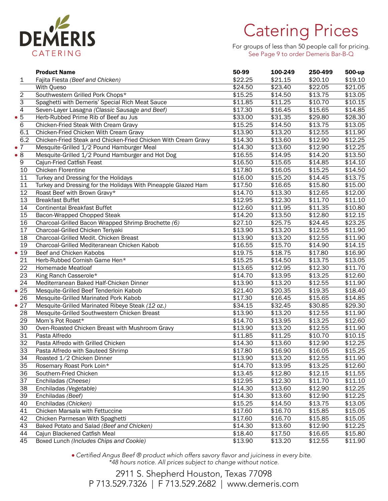

# Catering Prices

For groups of less than 50 people call for pricing. See Page 9 to order Demeris Bar-B-Q

|                  | <b>Product Name</b>                                            | 50-99   | 100-249 | 250-499 | 500-up  |
|------------------|----------------------------------------------------------------|---------|---------|---------|---------|
| 1                | Fajita Fiesta (Beef and Chicken)                               | \$22.25 | \$21.15 | \$20.10 | \$19.10 |
|                  | With Queso                                                     | \$24.50 | \$23.40 | \$22.05 | \$21.05 |
| 2                | Southwestern Grilled Pork Chops*                               | \$15.25 | \$14.50 | \$13.75 | \$13.05 |
| $\overline{3}$   | Spaghetti with Demeris' Special Rich Meat Sauce                | \$11.85 | \$11.25 | \$10.70 | \$10.15 |
| $\overline{4}$   | Seven-Layer Lasagna (Classic Sausage and Beef)                 | \$17.30 | \$16.45 | \$15.65 | \$14.85 |
| $\bullet$ 5      | Herb-Rubbed Prime Rib of Beef au Jus                           | \$33.00 | \$31.35 | \$29.80 | \$28.30 |
| 6                | Chicken-Fried Steak With Cream Gravy                           | \$15.25 | \$14.50 | \$13.75 | \$13.05 |
| 6.1              | Chicken-Fried Chicken With Cream Gravy                         | \$13.90 | \$13.20 | \$12.55 | \$11.90 |
| 6.2              | Chicken-Fried Steak and Chicken-Fried Chicken With Cream Gravy | \$14.30 | \$13.60 | \$12.90 | \$12.25 |
| $\bullet$ 7      | Mesquite-Grilled 1/2 Pound Hamburger Meal                      | \$14.30 | \$13.60 | \$12.90 | \$12.25 |
| $\bullet$ 8      | Mesquite-Grilled 1/2 Pound Hamburger and Hot Dog               | \$16.55 | \$14.95 | \$14.20 | \$13.50 |
| $\boldsymbol{9}$ | Cajun-Fried Catfish Feast                                      | \$16.50 | \$15.65 | \$14.85 | \$14.10 |
| 10               | Chicken Florentine                                             | \$17.80 | \$16.05 | \$15.25 | \$14.50 |
| 11               | Turkey and Dressing for the Holidays                           | \$16.00 | \$15.20 | \$14.45 | \$13.75 |
| 11               | Turkey and Dressing for the Holidays With Pineapple Glazed Ham | \$17.50 | \$16.65 | \$15.80 | \$15.00 |
| $\overline{12}$  | Roast Beef with Brown Gravy*                                   | \$14.70 | \$13.30 | \$12.65 | \$12.00 |
| 13               | <b>Breakfast Buffet</b>                                        | \$12.95 | \$12.30 | \$11.70 | \$11.10 |
| 14               | <b>Continental Breakfast Buffet</b>                            | \$12.60 | \$11.95 | \$11.35 | \$10.80 |
| 15               | Bacon-Wrapped Chopped Steak                                    | \$14.20 | \$13.50 | \$12.80 | \$12.15 |
| 16               | Charcoal-Grilled Bacon Wrapped Shrimp Brochette (6)            | \$27.10 | \$25.75 | \$24.45 | \$23.25 |
| 17               | Charcoal-Grilled Chicken Teriyaki                              | \$13.90 | \$13.20 | \$12.55 | \$11.90 |
| 18               | Charcoal-Grilled Medit. Chicken Breast                         | \$13.90 | \$13.20 | \$12.55 | \$11.90 |
| 19               | Charcoal-Grilled Mediteranean Chicken Kabob                    | \$16.55 | \$15.70 | \$14.90 | \$14.15 |
| • 19             | Beef and Chicken Kabobs                                        | \$19.75 | \$18.75 | \$17.80 | \$16.90 |
| 21               | Herb-Rubbed Cornish Game Hen*                                  | \$15.25 | \$14.50 | \$13.75 | \$13.05 |
| 22               | Homemade Meatloaf                                              | \$13.65 | \$12.95 | \$12.30 | \$11.70 |
| 23               | King Ranch Casserole*                                          | \$14.70 | \$13.95 | \$13.25 | \$12.60 |
| 24               | Mediterranean Baked Half-Chicken Dinner                        | \$13.90 | \$13.20 | \$12.55 | \$11.90 |
| $\bullet$ 25     | Mesquite-Grilled Beef Tenderloin Kabob                         | \$21.40 | \$20.35 | \$19.35 | \$18.40 |
| 26               | Mesquite-Grilled Marinated Pork Kabob                          | \$17.30 | \$16.45 | \$15.65 | \$14.85 |
| •27              | Mesquite-Grilled Marinated Ribeye Steak (12 oz.)               | \$34.15 | \$32.45 | \$30.85 | \$29.30 |
| 28               | Mesquite-Grilled Southwestern Chicken Breast                   | \$13.90 | \$13.20 | \$12.55 | \$11.90 |
| 29               | Mom's Pot Roast*                                               | \$14.70 | \$13.95 | \$13.25 | \$12.60 |
| 30               | Oven-Roasted Chicken Breast with Mushroom Gravy                | \$13.90 | \$13.20 | \$12.55 | \$11.90 |
| 31               | Pasta Alfredo                                                  | \$11.85 | \$11.25 | \$10.70 | \$10.15 |
| 32               | Pasta Alfredo with Grilled Chicken                             | \$14.30 | \$13.60 | \$12.90 | \$12.25 |
| 33               | Pasta Alfredo with Sauteed Shrimp                              | \$17.80 | \$16.90 | \$16.05 | \$15.25 |
| 34               | Roasted 1/2 Chicken Dinner                                     | \$13.90 | \$13.20 | \$12.55 | \$11.90 |
| 35               | Rosemary Roast Pork Loin*                                      | \$14.70 | \$13.95 | \$13.25 | \$12.60 |
| 36               | Southern-Fried Chicken                                         | \$13.45 | \$12.80 | \$12.15 | \$11.55 |
| 37               | Enchiladas (Cheese)                                            | \$12.95 | \$12.30 | \$11.70 | \$11.10 |
| 38               | Enchiladas (Vegetable)                                         | \$14.30 | \$13.60 | \$12.90 | \$12.25 |
| 39               | Enchiladas (Beef)                                              | \$14.30 | \$13.60 | \$12.90 | \$12.25 |
| 40               | Enchiladas (Chicken)                                           | \$15.25 | \$14.50 | \$13.75 | \$13.05 |
| 41               | Chicken Marsala with Fettuccine                                | \$17.60 | \$16.70 | \$15.85 | \$15.05 |
| 42               | Chicken Parmesan With Spaghetti                                | \$17.60 | \$16.70 | \$15.85 | \$15.05 |
| 43               | Baked Potato and Salad (Beef and Chicken)                      | \$14.30 | \$13.60 | \$12.90 | \$12.25 |
| 44               | Cajun Blackened Catfish Meal                                   | \$18.40 | \$17.50 | \$16.65 | \$15.80 |
| 45               | Boxed Lunch (Includes Chips and Cookie)                        | \$13.90 | \$13.20 | \$12.55 | \$11.90 |

Certified Angus Beef ® product which offers savory flavor and juiciness in every bite. \*48 hours notice. All prices subject to change without notice.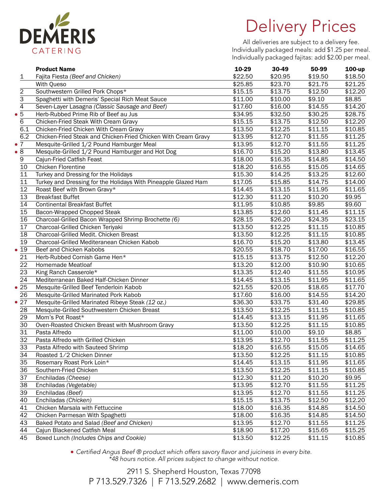

# Delivery Prices

All deliveries are subject to a delivery fee. Individually packaged meals: add \$1.25 per meal. Individually packaged fajitas: add \$2.00 per meal.

|                 | <b>Product Name</b>                                            | 10-29   | 30-49   | 50-99   | 100-up             |
|-----------------|----------------------------------------------------------------|---------|---------|---------|--------------------|
| 1               | Fajita Fiesta (Beef and Chicken)                               | \$22.50 | \$20.95 | \$19.50 | \$18.50            |
|                 | With Queso                                                     | \$25.85 | \$23.70 | \$21.75 | \$21.25            |
| $\sqrt{2}$      | Southwestern Grilled Pork Chops*                               | \$15.15 | \$13.75 | \$12.50 | \$12.20            |
| $\overline{3}$  | Spaghetti with Demeris' Special Rich Meat Sauce                | \$11.00 | \$10.00 | \$9.10  | \$8.85             |
| $\overline{4}$  | Seven-Layer Lasagna (Classic Sausage and Beef)                 | \$17.60 | \$16.00 | \$14.55 | \$14.20            |
| $\bullet$ 5     | Herb-Rubbed Prime Rib of Beef au Jus                           | \$34.95 | \$32.50 | \$30.25 | \$28.75            |
| $\,$ 6          | Chicken-Fried Steak With Cream Gravy                           | \$15.15 | \$13.75 | \$12.50 | \$12.20            |
| 6.1             | Chicken-Fried Chicken With Cream Gravy                         | \$13.50 | \$12.25 | \$11.15 | \$10.85            |
| 6.2             | Chicken-Fried Steak and Chicken-Fried Chicken With Cream Gravy | \$13.95 | \$12.70 | \$11.55 | \$11.25            |
| $\bullet$ 7     | Mesquite-Grilled 1/2 Pound Hamburger Meal                      | \$13.95 | \$12.70 | \$11.55 | \$11.25            |
| • 8             | Mesquite-Grilled 1/2 Pound Hamburger and Hot Dog               | \$16.70 | \$15.20 | \$13.80 | \$13.45            |
| 9               | Cajun-Fried Catfish Feast                                      | \$18.00 | \$16.35 | \$14.85 | \$14.50            |
| $\overline{10}$ | Chicken Florentine                                             | \$18.20 | \$16.55 | \$15.05 | \$14.65            |
| 11              | Turkey and Dressing for the Holidays                           | \$15.30 | \$14.25 | \$13.25 | \$12.60            |
| $\overline{11}$ | Turkey and Dressing for the Holidays With Pineapple Glazed Ham | \$17.05 | \$15.85 | \$14.75 | \$14.00            |
| 12              | Roast Beef with Brown Gravy*                                   | \$14.45 | \$13.15 | \$11.95 | \$11.65            |
| $\overline{13}$ | <b>Breakfast Buffet</b>                                        | \$12.30 | \$11.20 | \$10.20 | $\overline{$}9.95$ |
| 14              | <b>Continental Breakfast Buffet</b>                            | \$11.95 | \$10.85 | \$9.85  | \$9.60             |
| 15              | Bacon-Wrapped Chopped Steak                                    | \$13.85 | \$12.60 | \$11.45 | \$11.15            |
| 16              | Charcoal-Grilled Bacon Wrapped Shrimp Brochette (6)            | \$28.15 | \$26.20 | \$24.35 | \$23.15            |
| $\overline{17}$ | Charcoal-Grilled Chicken Teriyaki                              | \$13.50 | \$12.25 | \$11.15 | \$10.85            |
| 18              | Charcoal-Grilled Medit. Chicken Breast                         | \$13.50 | \$12.25 | \$11.15 | \$10.85            |
| 19              | Charcoal-Grilled Mediteranean Chicken Kabob                    | \$16.70 | \$15.20 | \$13.80 | \$13.45            |
| • 19            | Beef and Chicken Kabobs                                        | \$20.55 | \$18.70 | \$17.00 | \$16.55            |
| 21              | Herb-Rubbed Cornish Game Hen*                                  | \$15.15 | \$13.75 | \$12.50 | \$12.20            |
| $\overline{22}$ | Homemade Meatloaf                                              | \$13.20 | \$12.00 | \$10.90 | \$10.65            |
| 23              | King Ranch Casserole*                                          | \$13.35 | \$12.40 | \$11.55 | \$10.95            |
| 24              | Mediterranean Baked Half-Chicken Dinner                        | \$14.45 | \$13.15 | \$11.95 | \$11.65            |
| •25             | Mesquite-Grilled Beef Tenderloin Kabob                         | \$21.55 | \$20.05 | \$18.65 | \$17.70            |
| 26              | Mesquite-Grilled Marinated Pork Kabob                          | \$17.60 | \$16.00 | \$14.55 | \$14.20            |
| •27             | Mesquite-Grilled Marinated Ribeye Steak (12 oz.)               | \$36.30 | \$33.75 | \$31.40 | \$29.85            |
| 28              | Mesquite-Grilled Southwestern Chicken Breast                   | \$13.50 | \$12.25 | \$11.15 | \$10.85            |
| 29              | Mom's Pot Roast*                                               | \$14.45 | \$13.15 | \$11.95 | \$11.65            |
| 30              | Oven-Roasted Chicken Breast with Mushroom Gravy                | \$13.50 | \$12.25 | \$11.15 | \$10.85            |
| 31              | Pasta Alfredo                                                  | \$11.00 | \$10.00 | \$9.10  | \$8.85             |
| 32              | Pasta Alfredo with Grilled Chicken                             | \$13.95 | \$12.70 | \$11.55 | \$11.25            |
| 33              | Pasta Alfredo with Sauteed Shrimp                              | \$18.20 | \$16.55 | \$15.05 | \$14.65            |
| 34              | Roasted 1/2 Chicken Dinner                                     | \$13.50 | \$12.25 | \$11.15 | \$10.85            |
| 35              | Rosemary Roast Pork Loin*                                      | \$14.45 | \$13.15 | \$11.95 | \$11.65            |
| 36              | Southern-Fried Chicken                                         | \$13.50 | \$12.25 | \$11.15 | \$10.85            |
| 37              | Enchiladas (Cheese)                                            | \$12.30 | \$11.20 | \$10.20 | \$9.95             |
| 38              | Enchiladas (Vegetable)                                         | \$13.95 | \$12.70 | \$11.55 | \$11.25            |
| 39              | Enchiladas (Beef)                                              | \$13.95 | \$12.70 | \$11.55 | \$11.25            |
| 40              | Enchiladas (Chicken)                                           | \$15.15 | \$13.75 | \$12.50 | \$12.20            |
| 41              | Chicken Marsala with Fettuccine                                | \$18.00 | \$16.35 | \$14.85 | \$14.50            |
| 42              | Chicken Parmesan With Spaghetti                                | \$18.00 | \$16.35 | \$14.85 | \$14.50            |
| 43              | Baked Potato and Salad (Beef and Chicken)                      | \$13.95 | \$12.70 | \$11.55 | \$11.25            |
| 44              | Cajun Blackened Catfish Meal                                   | \$18.90 | \$17.20 | \$15.65 | \$15.25            |
| 45              | Boxed Lunch (Includes Chips and Cookie)                        | \$13.50 | \$12.25 | \$11.15 | \$10.85            |

Certified Angus Beef ® product which offers savory flavor and juiciness in every bite. \*48 hours notice. All prices subject to change without notice.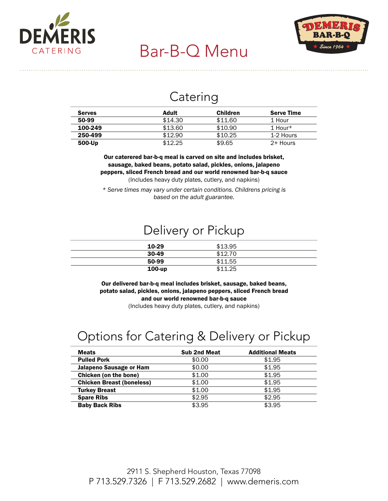



### Catering

| <b>Serves</b> | Adult   | <b>Children</b> | <b>Serve Time</b> |
|---------------|---------|-----------------|-------------------|
| 50-99         | \$14.30 | \$11.60         | 1 Hour            |
| 100-249       | \$13.60 | \$10.90         | 1 Hour $*$        |
| 250-499       | \$12.90 | \$10.25         | 1-2 Hours         |
| 500-Up        | \$12.25 | \$9.65          | 2+ Hours          |

Our caterered bar-b-q meal is carved on site and includes brisket, sausage, baked beans, potato salad, pickles, onions, jalapeno peppers, sliced French bread and our world renowned bar-b-q sauce

(Includes heavy duty plates, cutlery, and napkins)

*\* Serve times may vary under certain conditions. Childrens pricing is based on the adult guarantee.*

### Delivery or Pickup

| $10-29$  | \$13.95 |
|----------|---------|
| $30-49$  | \$12.70 |
| 50-99    | \$11.55 |
| $100-up$ | \$11.25 |

Our delivered bar-b-q meal includes brisket, sausage, baked beans, potato salad, pickles, onions, jalapeno peppers, sliced French bread and our world renowned bar-b-q sauce

(Includes heavy duty plates, cutlery, and napkins)

# Options for Catering & Delivery or Pickup

| <b>Meats</b>                     | <b>Sub 2nd Meat</b> | <b>Additional Meats</b> |
|----------------------------------|---------------------|-------------------------|
| <b>Pulled Pork</b>               | \$0.00              | \$1.95                  |
| Jalapeno Sausage or Ham          | \$0.00              | \$1.95                  |
| Chicken (on the bone)            | \$1.00              | \$1.95                  |
| <b>Chicken Breast (boneless)</b> | \$1.00              | \$1.95                  |
| <b>Turkey Breast</b>             | \$1.00              | \$1.95                  |
| <b>Spare Ribs</b>                | \$2.95              | \$2.95                  |
| <b>Baby Back Ribs</b>            | \$3.95              | \$3.95                  |